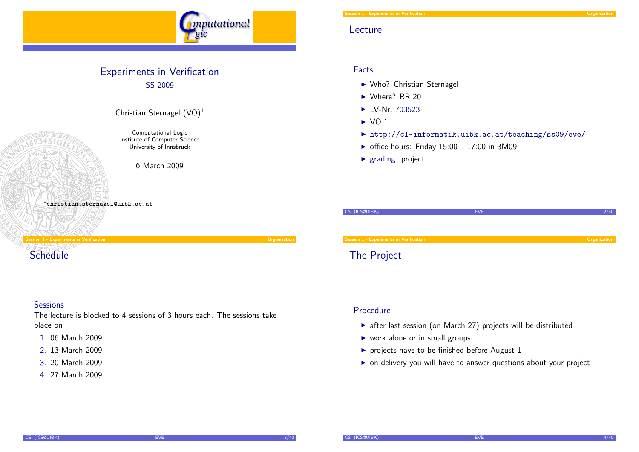

## Experiments in Verification SS 2009



Christian Sternagel  $(VO)^1$ 

Computational Logic Institute of Computer Science University of Innsbruck

6 March 2009

1 christian.sternagel@uibk.ac.at

**Session 1 - Experiments in Verification Contract Contract Contract Contract Contract Contract Contract Contract Contract Contract Contract Contract Contract Contract Contract Contract Contract Contract Contract Contract** 

[Schedule](#page-0-0)

#### **Sessions**

The lecture is blocked to 4 sessions of 3 hours each. The sessions take place on

- 1. 06 March 2009
- 2. [13 Marc](http://orawww.uibk.ac.at/public_prod/owa/lfuonline_lv.details?sem_id_in=09S&lvnr_id_in=703523)h 2009
- 3. 20 March 2009
- 4. [27 March 2009](http://cl-informatik.uibk.ac.at/teaching/ss09/eve/)

### Lecture

#### Facts

- ▶ Who? Christian Sternagel
- $\blacktriangleright$  Where? RR 20
- $\blacktriangleright$  LV-Nr. 703523
- $\triangleright$  VO 1
- $\triangleright$  http://cl-informatik.uibk.ac.at/teaching/ss09/eve/
- $\triangleright$  office hours: Friday 15:00 17:00 in 3M09
- $\blacktriangleright$  grading: project



#### Procedure

- $\triangleright$  after last session (on March 27) projects will be distributed
- $\triangleright$  work alone or in small groups
- $\triangleright$  projects have to be finished before August 1
- <span id="page-0-0"></span> $\triangleright$  on delivery you will have to answer questions about your project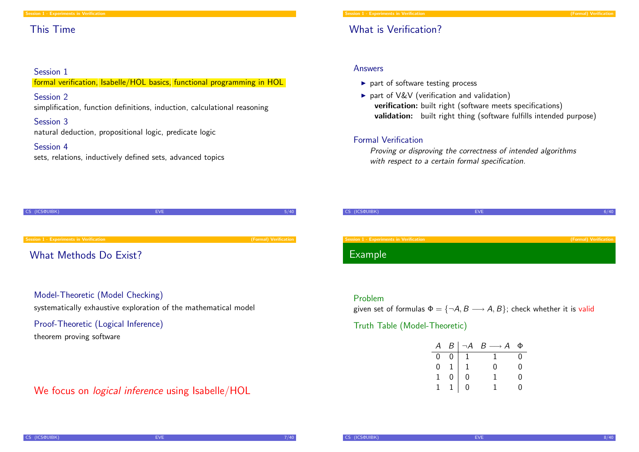## This Time

Session 1

Session 2

Session 3

Session 4

## What is Verification?

#### Answers

- $\blacktriangleright$  part of software testing process
- $\triangleright$  part of V&V (verification and validation) verification: built right (software meets specifications) validation: built right thing (software fulfills intended purpose)

#### Formal Verification

Proving or disproving the correctness of intended algorithms with respect to a certain formal specification.

| CS (ICS@UIBK)                                  | <b>EVE</b> |                       |
|------------------------------------------------|------------|-----------------------|
|                                                |            |                       |
|                                                |            |                       |
| <b>Session 1 - Experiments in Verification</b> |            | (Formal) Verification |
| What Methods Do Exist?                         |            |                       |

formal verification, Isabelle/HOL basics, functional programming in HOL

simplification, function definitions, induction, calculational reasoning

natural deduction, propositional logic, predicate logic

sets, relations, inductively defined sets, advanced topics

#### Model-Theoretic (Model Checking)

systematically exhaustive exploration of the mathematical model

## Proof-Theoretic (Logical Inference)

theorem proving software

We focus on *logical inference* using Isabelle/HOL

| CS (ICS@UIBK)                                  | <b>EVE</b> | 6/40                  |
|------------------------------------------------|------------|-----------------------|
|                                                |            |                       |
|                                                |            |                       |
| <b>Session 1 - Experiments in Verification</b> |            | (Formal) Verification |
|                                                |            |                       |
| Example                                        |            |                       |
|                                                |            |                       |

#### Problem

given set of formulas  $\Phi = \{\neg A, B \longrightarrow A, B\}$ ; check whether it is valid

Truth Table (Model-Theoretic)

| $\overline{A}$ |                | $B \mid \neg A$ | $B \longrightarrow A$ | Φ  |
|----------------|----------------|-----------------|-----------------------|----|
| 0.             | $\overline{0}$ | $\overline{1}$  |                       | -0 |
| $\Omega$       | $\boxed{1}$    |                 |                       |    |
|                | $\overline{0}$ | $\overline{0}$  |                       |    |
|                |                | 0               |                       |    |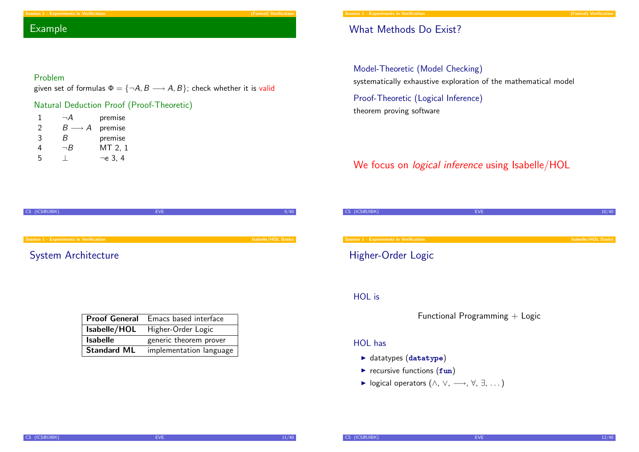## Example

## What Methods Do Exist?

#### Problem

given set of formulas  $\Phi = \{\neg A, B \longrightarrow A, B\}$ ; check whether it is valid

### Natural Deduction Proof (Proof-Theoretic)

| ı |                      | premise       |
|---|----------------------|---------------|
| 2 | $B\longrightarrow A$ | premise       |
| 3 | R                    | premise       |
| 4 | $\neg B$             | MT 2, 1       |
| 5 |                      | $\neg$ e 3, 4 |

# Model-Theoretic (Model Checking)

systematically exhaustive exploration of the mathematical model

Proof-Theoretic (Logical Inference) theorem proving software

## We focus on *logical inference* using Isabelle/HOL

| CS (ICS@UIBK)                           | EVE. | 9/40                       |
|-----------------------------------------|------|----------------------------|
|                                         |      |                            |
|                                         |      |                            |
|                                         |      |                            |
|                                         |      |                            |
| Session 1 - Experiments in Verification |      | <b>Isabelle/HOL Basics</b> |
|                                         |      |                            |

## [System Arch](#page-0-0)itecture

|                    | <b>Proof General</b> Emacs based interface |
|--------------------|--------------------------------------------|
| Isabelle/HOL       | Higher-Order Logic                         |
| <b>Isabelle</b>    | generic theorem prover                     |
| <b>Standard ML</b> | implementation language                    |

| CS (ICS@UIBK)                           | EVE. | 10/40                      |
|-----------------------------------------|------|----------------------------|
|                                         |      |                            |
|                                         |      |                            |
|                                         |      |                            |
| Session 1 - Experiments in Verification |      | <b>Isabelle/HOL Basics</b> |
|                                         |      |                            |
| Higher-Order Logic                      |      |                            |
|                                         |      |                            |
|                                         |      |                            |
|                                         |      |                            |
|                                         |      |                            |

### HOL is

Functional Programming + Logic

#### HOL has

- $\blacktriangleright$  datatypes (datatype)
- $\blacktriangleright$  recursive functions (fun)
- $\triangleright$  logical operators  $(\wedge, \vee, \longrightarrow, \forall, \exists, ...)$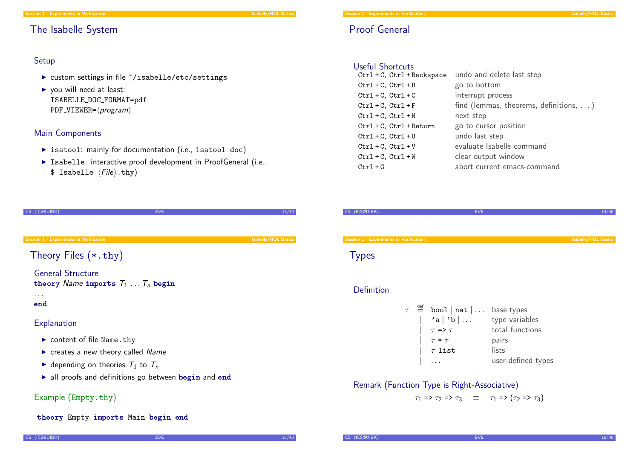## The Isabelle System

### Setup

- $\triangleright$  custom settings in file  $\tilde{\phantom{a}}$ /isabelle/etc/settings
- $\triangleright$  you will need at least: ISABELLE DOC FORMAT=pdf  $PDF$ \_VIEWER= $\langle program \rangle$

#### Main Components

- $\triangleright$  isatool: mainly for documentation (i.e., isatool doc)
- ▶ Isabelle: interactive proof development in ProofGeneral (i.e.,  $$$  Isabelle  $\langle$ *File* $\rangle$ .thy)

| CS (ICS@UIBK)                                                          | <b>EVE</b>                                                           | 13/40                      |
|------------------------------------------------------------------------|----------------------------------------------------------------------|----------------------------|
|                                                                        |                                                                      |                            |
| <b>Session 1 - Experiments in Verification</b>                         |                                                                      | <b>Isabelle/HOL Basics</b> |
| Theory Files (*.thy)                                                   |                                                                      |                            |
| <b>General Structure</b><br>theory Name imports $T_1 \ldots T_n$ begin |                                                                      |                            |
| .<br>end                                                               |                                                                      |                            |
| Explanation                                                            |                                                                      |                            |
| content of file Name.thy                                               |                                                                      |                            |
| $\blacktriangleright$ creates a new theory called Name                 |                                                                      |                            |
| • depending on theories $T_1$ to $T_n$                                 |                                                                      |                            |
|                                                                        | $\triangleright$ all proofs and definitions go between begin and end |                            |

## Example (Empty.thy)

theory Empty imports Main begin end

| <b>Useful Shortcuts</b><br>Ctrl + C, Ctrl + Backspace | undo and delete last step                      |
|-------------------------------------------------------|------------------------------------------------|
| $Ctrl + C, Ctr1 + B$                                  | go to bottom                                   |
| $Ctrl + C, Ctrl + C$                                  | interrupt process                              |
| $Ctrl + C, Ctrl + F$                                  | find (lemmas, theorems, definitions, $\dots$ ) |
| $Ctrl + C, Ctr1 + N$                                  | next step                                      |

Ctrl + C, Ctrl + Return go to cursor position Ctrl + C, Ctrl + U undo last step

Ctrl + C, Ctrl + V evaluate Isabelle command Ctrl + C, Ctrl + W clear output window

Ctrl + G abort current emacs-command

Proof General

| CS (ICS@UIBK)                                  | <b>EVE</b>                                                 | 14/40                      |
|------------------------------------------------|------------------------------------------------------------|----------------------------|
|                                                |                                                            |                            |
|                                                |                                                            |                            |
| <b>Session 1 - Experiments in Verification</b> |                                                            | <b>Isabelle/HOL Basics</b> |
| <b>Types</b>                                   |                                                            |                            |
|                                                |                                                            |                            |
|                                                |                                                            |                            |
|                                                |                                                            |                            |
| Definition                                     |                                                            |                            |
|                                                |                                                            |                            |
|                                                | $\tau$ $\stackrel{\text{def}}{=}$ bool   nat    base types |                            |
|                                                | $\mathbf{a}   \mathbf{b}   \dots$ type variables           |                            |

| $\stackrel{\text{det}}{=}$ | $bool   nat  $ base types |                    |
|----------------------------|---------------------------|--------------------|
|                            | $'$ a   'b                | type variables     |
|                            | $\tau \Rightarrow \tau$   | total functions    |
|                            | $\tau * \tau$             | pairs              |
|                            | $\tau$ list               | lists              |
|                            |                           | user-defined types |

## Remark (Function Type is Right-Associative)

## $\tau_1$  =>  $\tau_2$  =>  $\tau_3$   $\equiv$   $\tau_1$  =>  $(\tau_2$  =>  $\tau_3)$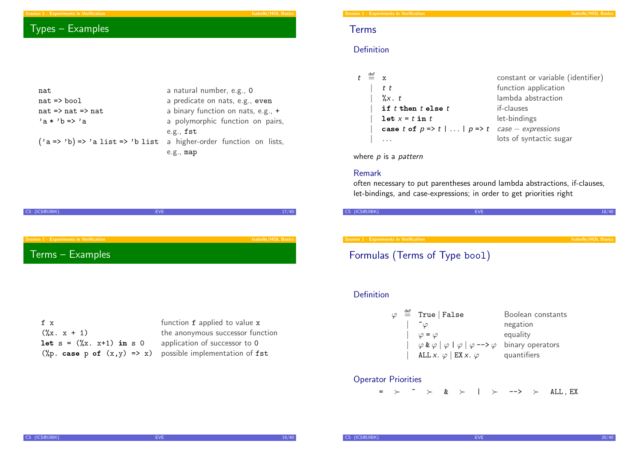# Types – Examples

| nat                                     | a natural number, e.g., 0            |
|-----------------------------------------|--------------------------------------|
| $nat \Rightarrow bool$                  | a predicate on nats, e.g., even      |
| nat $\Rightarrow$ nat $\Rightarrow$ nat | a binary function on nats, e.g., $+$ |
| $a * b \Rightarrow a$                   | a polymorphic function on pairs,     |
|                                         | e.g., $fst$                          |
| $('a => 'b) => 'a list => 'b list$      | a higher-order function on lists,    |
|                                         | e.g., map                            |

| CS (ICS@UIBK)                           | <b>EVE</b> | 17/40                      |
|-----------------------------------------|------------|----------------------------|
|                                         |            |                            |
|                                         |            |                            |
| Session 1 - Experiments in Verification |            | <b>Isabelle/HOL Basics</b> |
| Terms - Examples                        |            |                            |

| fx                                                                    | function f applied to value x    |
|-----------------------------------------------------------------------|----------------------------------|
| $(\chi_{X} , \chi + 1)$                                               | the anonymous successor function |
| let $s = (\%x, x+1)$ in s 0                                           | application of successor to 0    |
| (%p. case p of $(x,y) \Rightarrow x$ ) possible implementation of fst |                                  |

## Terms

### Definition

| $\ddot{r}$ | $\stackrel{\scriptscriptstyle\rm def}{=} ~ ~ ~ ~ ~ ~ ~ ~ ~$ |                                                                           | constant or variable (identifier) |
|------------|-------------------------------------------------------------|---------------------------------------------------------------------------|-----------------------------------|
|            |                                                             | t t                                                                       | function application              |
|            |                                                             | $\sqrt[9]{x}$ . t                                                         | lambda abstraction                |
|            |                                                             | if $t$ then $t$ else $t$                                                  | if-clauses                        |
|            |                                                             | let $x = t$ in t                                                          | let-bindings                      |
|            |                                                             | case t of $p \Rightarrow t \mid  \mid p \Rightarrow t$ case – expressions |                                   |
|            |                                                             |                                                                           | lots of syntactic sugar           |

where  $p$  is a pattern

#### Remark

often necessary to put parentheses around lambda abstractions, if-clauses, let-bindings, and case-expressions; in order to get priorities right

| CS (ICS@UIBK) |  |
|---------------|--|
|               |  |
|               |  |

Session 1 - Experiments in Verification **Islamical Experiments in Verification** Isabelle/HOL Basics

Formulas (Terms of Type bool)

#### Definition

|  | $\varphi \equiv \text{True}   \text{False}$                                                      | Boolean constants |
|--|--------------------------------------------------------------------------------------------------|-------------------|
|  | $\tilde{\phantom{a}}\circ$                                                                       | negation          |
|  | $\varphi = \varphi$                                                                              | equality          |
|  | $\varphi \& \varphi \mid \varphi \mid \varphi \mid \varphi \rightarrow \varphi$ binary operators |                   |
|  | ALL x. $\varphi$   EX x. $\varphi$                                                               | quantifiers       |

#### **Operator Priorities**

 $=$   $>$   $\sim$   $\ge$   $\&$   $>$  |  $>$  -->  $>$  ALL, EX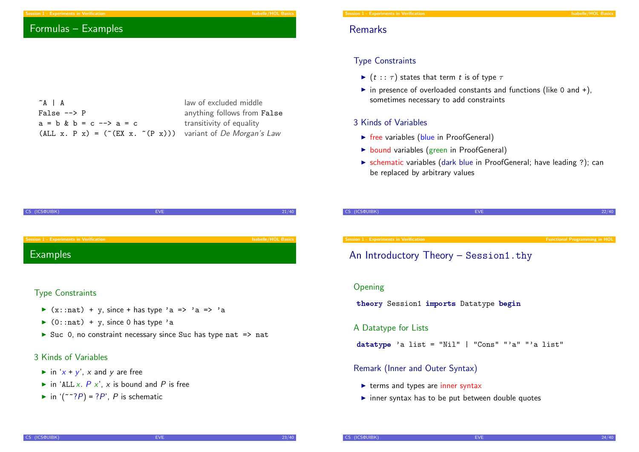## Formulas – Examples

| $\tilde{A}$   A                                             | law of excluded middle      |
|-------------------------------------------------------------|-----------------------------|
| False $\leftarrow$ P                                        | anything follows from False |
| $a = b \& b = c \rightarrow a = c$                          | transitivity of equality    |
| (ALL x. P x) = ("(EX x. "(P x))) variant of De Morgan's Law |                             |

#### Session 1 - Experiments in Verification **Islamic Basics and The Contract of Contract Contract of Contract Contract**

## Remarks

#### Type Constraints

- $\blacktriangleright$  (t ::  $\tau$ ) states that term t is of type  $\tau$
- $\triangleright$  in presence of overloaded constants and functions (like 0 and +), sometimes necessary to add constraints

#### 3 Kinds of Variables

- $\triangleright$  free variables (blue in ProofGeneral)
- $\triangleright$  bound variables (green in ProofGeneral)
- $\triangleright$  schematic variables (dark blue in ProofGeneral; have leading ?); can be replaced by arbitrary values

CS (ICS@UIBK) EVE 22/40

| CS (ICS@UIBK)                           | <b>EVE</b> | 21/40                      |
|-----------------------------------------|------------|----------------------------|
|                                         |            |                            |
|                                         |            |                            |
| Session 1 - Experiments in Verification |            | <b>Isabelle/HOL Basics</b> |
| <b>Examples</b>                         |            |                            |

#### Type Constraints

- $\triangleright$  (x::nat) + y, since + has type 'a => 'a => 'a
- $\triangleright$  (0::nat) + y, since 0 has type 'a
- $\triangleright$  Suc 0, no constraint necessary since Suc has type nat => nat

### 3 Kinds of Variables

- in 'x + y', x and y are free
- in 'ALL x.  $P$  x', x is bound and P is free
- in  $('~~?P) = ?P', P$  is schematic

Session 1 - Experiments in Verification Functional Programming in HOL

## An Introductory Theory – Session1.thy

#### Opening

theory Session1 imports Datatype begin

#### A Datatype for Lists

datatype 'a list = "Nil" | "Cons" "'a" "'a list"

#### Remark (Inner and Outer Syntax)

- $\blacktriangleright$  terms and types are inner syntax
- $\triangleright$  inner syntax has to be put between double quotes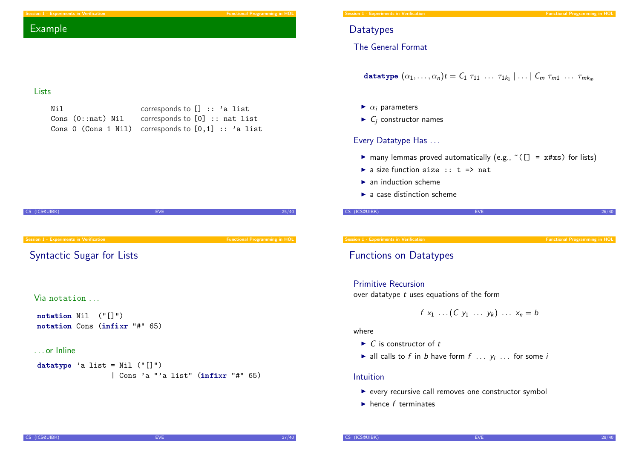## Example

#### Lists

| Nil                | corresponds to $[] :: 'a list$                        |
|--------------------|-------------------------------------------------------|
| $Cons(0::nat)$ Nil | corresponds to $[0]$ :: nat list                      |
|                    | Cons 0 (Cons 1 Nil) corresponds to $[0,1]$ :: 'a list |



#### . . . or Inline

datatype 'a list =  $Nil$  (" $[]$ ") | Cons 'a "'a list" (infixr "#" 65)

#### Session 1 - Experiments in Verification Functional Programming in HOL

## **Datatypes**

#### The General Format

## datatype  $(\alpha_1,\ldots,\alpha_n)t=C_1\,\,\tau_{11}\,\,\ldots\,\,\tau_{1k_1}\mid\ldots\mid C_m\,\,\tau_{m1}\,\,\ldots\,\,\tau_{mk_m}$

- $\blacktriangleright$   $\alpha_i$  parameters
- $\blacktriangleright$  C<sub>i</sub> constructor names

#### Every Datatype Has ...

- $\triangleright$  many lemmas proved automatically (e.g., ~([] = x#xs) for lists)
- $\triangleright$  a size function size :: t => nat
- $\blacktriangleright$  an induction scheme
- $\blacktriangleright$  a case distinction scheme

## CS (ICS@UIBK) 26/40

#### Session 1 - Experiments in Verification Functional Programming in HOL

## Functions on Datatypes

#### Primitive Recursion

over datatype  $t$  uses equations of the form

$$
f x_1 \ldots (C y_1 \ldots y_k) \ldots x_n = b
$$

#### where

- $\triangleright$  C is constructor of t
- ightharpoontalleright all calls to f in b have form  $f \ldots y_i \ldots$  for some i

#### Intuition

- $\blacktriangleright$  every recursive call removes one constructor symbol
- $\blacktriangleright$  hence f terminates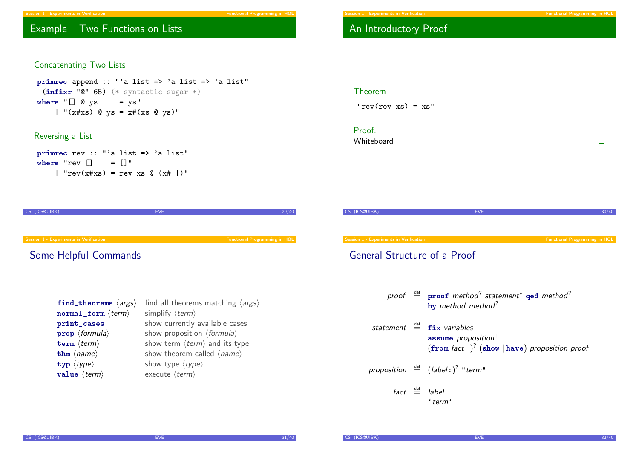## Example – Two Functions on Lists

#### Concatenating Two Lists

primrec append :: "'a list => 'a list => 'a list"  $(intir "0" 65)$  (\* syntactic sugar \*) where " $[] @$  ys = ys" | " $(x \# xs)$  @ ys =  $x \# (xs \ @ \ ys)$ "

#### Reversing a List

```
primrec rev :: "'a list => 'a list"
where "rev [] = []"
    | "rev(x#xs) = rev xs @ (x#[])"
```

| CS (ICS@UIBK)                                  | <b>EVE</b><br>29/40                                      |
|------------------------------------------------|----------------------------------------------------------|
|                                                |                                                          |
| <b>Session 1 - Experiments in Verification</b> | <b>Functional Programming in HOL</b>                     |
| Some Helpful Commands                          |                                                          |
|                                                |                                                          |
|                                                |                                                          |
|                                                |                                                          |
| find_theorems $\langle \textit{args} \rangle$  | find all theorems matching $\langle \text{args} \rangle$ |
| $normal_form \langle term \rangle$             | simplify $\langle term \rangle$                          |
| print_cases                                    | show currently available cases                           |
| $prop \langle formula \rangle$                 | show proposition $\langle formula \rangle$               |
| term $\langle term \rangle$                    | show term $\langle term \rangle$ and its type            |
| thm $\langle name \rangle$                     | show theorem called $\langle name \rangle$               |
| $typ$ $\langle type \rangle$                   | show type $\langle type \rangle$                         |
| value $\langle term \rangle$                   | execute $\langle term \rangle$                           |

# An Introductory Proof

Theorem

 $"rev(rev xs) = xs"$ 

| Proof.<br>Whiteboard                           |            |                                      |
|------------------------------------------------|------------|--------------------------------------|
| CS (ICS@UIBK)                                  | <b>EVE</b> | 30/40                                |
|                                                |            |                                      |
| <b>Session 1 - Experiments in Verification</b> |            | <b>Functional Programming in HOL</b> |
| <b>General Structure of a Proof</b>            |            |                                      |

|  | proof $\stackrel{\text{def}}{=}$ proof method <sup>?</sup> statement <sup>*</sup> god method <sup>?</sup><br>$\vert$ by method method?    |
|--|-------------------------------------------------------------------------------------------------------------------------------------------|
|  | statement $\stackrel{\text{def}}{=}$ fix variables<br>  assume proposition+<br>  $(\text{from fact}^+)^?$ (show   have) proposition proof |
|  | proposition $\stackrel{\text{def}}{=}$ (label:) <sup>?</sup> "term"                                                                       |
|  | $fact \stackrel{\text{def}}{=}$ label<br>$\vert$ 'term'                                                                                   |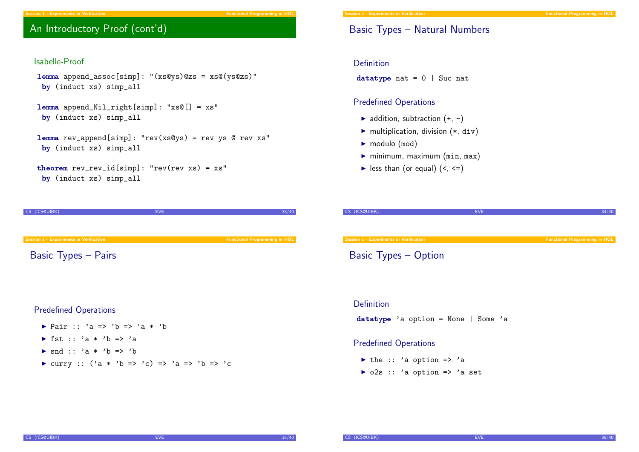## An Introductory Proof (cont'd)

#### Isabelle-Proof

```
lemma append_assoc[simp]: "(xs@ys)@zs = xs@(ys@zs)"
 by (induct xs) simp_all
```

```
lemma append_Nil_right[simp]: "xs@[] = xs"
 by (induct xs) simp_all
```
lemma rev\_append[simp]: "rev(xs@ys) = rev ys @ rev xs" by (induct xs) simp\_all

CS (ICS@UIBK) 33/40

Session 1 - Experiments in Verification Functional Programming in HOL Session 1 - Experiments in Verification

```
theorem rev\_rev\_id[simp]: "rev(rev xs) = xs"
 by (induct xs) simp_all
```
## Basic Types – Natural Numbers

#### Definition

datatype nat =  $0$  | Suc nat

#### Predefined Operations

- $\blacktriangleright$  addition, subtraction  $(+, -)$
- $\blacktriangleright$  multiplication, division  $(*, div)$
- $\blacktriangleright$  modulo (mod)
- $\blacktriangleright$  minimum, maximum (min, max)
- $\blacktriangleright$  less than (or equal) (<, <=)

| CS (ICS@UIBK)                           | <b>EVE</b> | 34/40                                |
|-----------------------------------------|------------|--------------------------------------|
|                                         |            |                                      |
|                                         |            |                                      |
| Session 1 - Experiments in Verification |            | <b>Functional Programming in HOL</b> |

#### Definition

datatype 'a option = None | Some 'a

#### Predefined Operations

- $\triangleright$  the :: 'a option => 'a
- $\triangleright$  o2s :: 'a option => 'a set

#### Predefined Operations

[Basic Types](#page-0-0) – Pairs

- Pair :: 'a => 'b => 'a \* 'b
- If  $st :: 'a * 'b =&>'a$
- $\triangleright$  snd :: 'a \* 'b => 'b
- In curry ::  $('a * 'b => 'c) => 'a => 'b => 'c$